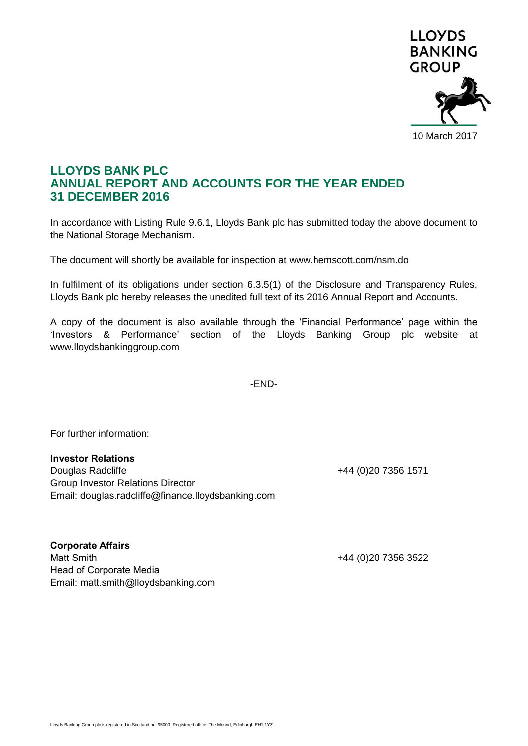

## **LLOYDS BANK PLC ANNUAL REPORT AND ACCOUNTS FOR THE YEAR ENDED 31 DECEMBER 2016**

In accordance with Listing Rule 9.6.1, Lloyds Bank plc has submitted today the above document to the National Storage Mechanism.

The document will shortly be available for inspection at www.hemscott.com/nsm.do

In fulfilment of its obligations under section 6.3.5(1) of the Disclosure and Transparency Rules, Lloyds Bank plc hereby releases the unedited full text of its 2016 Annual Report and Accounts.

A copy of the document is also available through the 'Financial Performance' page within the 'Investors & Performance' section of the Lloyds Banking Group plc website at www.lloydsbankinggroup.com

-END-

For further information:

## **Investor Relations**

Douglas Radcliffe **+44** (0)20 7356 1571 Group Investor Relations Director Email: douglas.radcliffe@finance.lloydsbanking.com

**Corporate Affairs** Matt Smith +44 (0)20 7356 3522 Head of Corporate Media

Email: matt.smith@lloydsbanking.com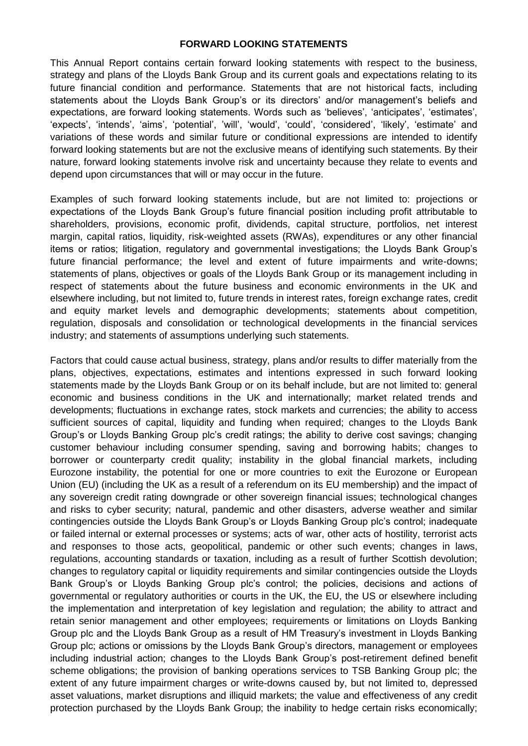## **FORWARD LOOKING STATEMENTS**

This Annual Report contains certain forward looking statements with respect to the business, strategy and plans of the Lloyds Bank Group and its current goals and expectations relating to its future financial condition and performance. Statements that are not historical facts, including statements about the Lloyds Bank Group's or its directors' and/or management's beliefs and expectations, are forward looking statements. Words such as 'believes', 'anticipates', 'estimates', 'expects', 'intends', 'aims', 'potential', 'will', 'would', 'could', 'considered', 'likely', 'estimate' and variations of these words and similar future or conditional expressions are intended to identify forward looking statements but are not the exclusive means of identifying such statements. By their nature, forward looking statements involve risk and uncertainty because they relate to events and depend upon circumstances that will or may occur in the future.

Examples of such forward looking statements include, but are not limited to: projections or expectations of the Lloyds Bank Group's future financial position including profit attributable to shareholders, provisions, economic profit, dividends, capital structure, portfolios, net interest margin, capital ratios, liquidity, risk-weighted assets (RWAs), expenditures or any other financial items or ratios; litigation, regulatory and governmental investigations; the Lloyds Bank Group's future financial performance; the level and extent of future impairments and write-downs; statements of plans, objectives or goals of the Lloyds Bank Group or its management including in respect of statements about the future business and economic environments in the UK and elsewhere including, but not limited to, future trends in interest rates, foreign exchange rates, credit and equity market levels and demographic developments; statements about competition, regulation, disposals and consolidation or technological developments in the financial services industry; and statements of assumptions underlying such statements.

Factors that could cause actual business, strategy, plans and/or results to differ materially from the plans, objectives, expectations, estimates and intentions expressed in such forward looking statements made by the Lloyds Bank Group or on its behalf include, but are not limited to: general economic and business conditions in the UK and internationally; market related trends and developments; fluctuations in exchange rates, stock markets and currencies; the ability to access sufficient sources of capital, liquidity and funding when required; changes to the Lloyds Bank Group's or Lloyds Banking Group plc's credit ratings; the ability to derive cost savings; changing customer behaviour including consumer spending, saving and borrowing habits; changes to borrower or counterparty credit quality; instability in the global financial markets, including Eurozone instability, the potential for one or more countries to exit the Eurozone or European Union (EU) (including the UK as a result of a referendum on its EU membership) and the impact of any sovereign credit rating downgrade or other sovereign financial issues; technological changes and risks to cyber security; natural, pandemic and other disasters, adverse weather and similar contingencies outside the Lloyds Bank Group's or Lloyds Banking Group plc's control; inadequate or failed internal or external processes or systems; acts of war, other acts of hostility, terrorist acts and responses to those acts, geopolitical, pandemic or other such events; changes in laws, regulations, accounting standards or taxation, including as a result of further Scottish devolution; changes to regulatory capital or liquidity requirements and similar contingencies outside the Lloyds Bank Group's or Lloyds Banking Group plc's control; the policies, decisions and actions of governmental or regulatory authorities or courts in the UK, the EU, the US or elsewhere including the implementation and interpretation of key legislation and regulation; the ability to attract and retain senior management and other employees; requirements or limitations on Lloyds Banking Group plc and the Lloyds Bank Group as a result of HM Treasury's investment in Lloyds Banking Group plc; actions or omissions by the Lloyds Bank Group's directors, management or employees including industrial action; changes to the Lloyds Bank Group's post-retirement defined benefit scheme obligations; the provision of banking operations services to TSB Banking Group plc; the extent of any future impairment charges or write-downs caused by, but not limited to, depressed asset valuations, market disruptions and illiquid markets; the value and effectiveness of any credit protection purchased by the Lloyds Bank Group; the inability to hedge certain risks economically;